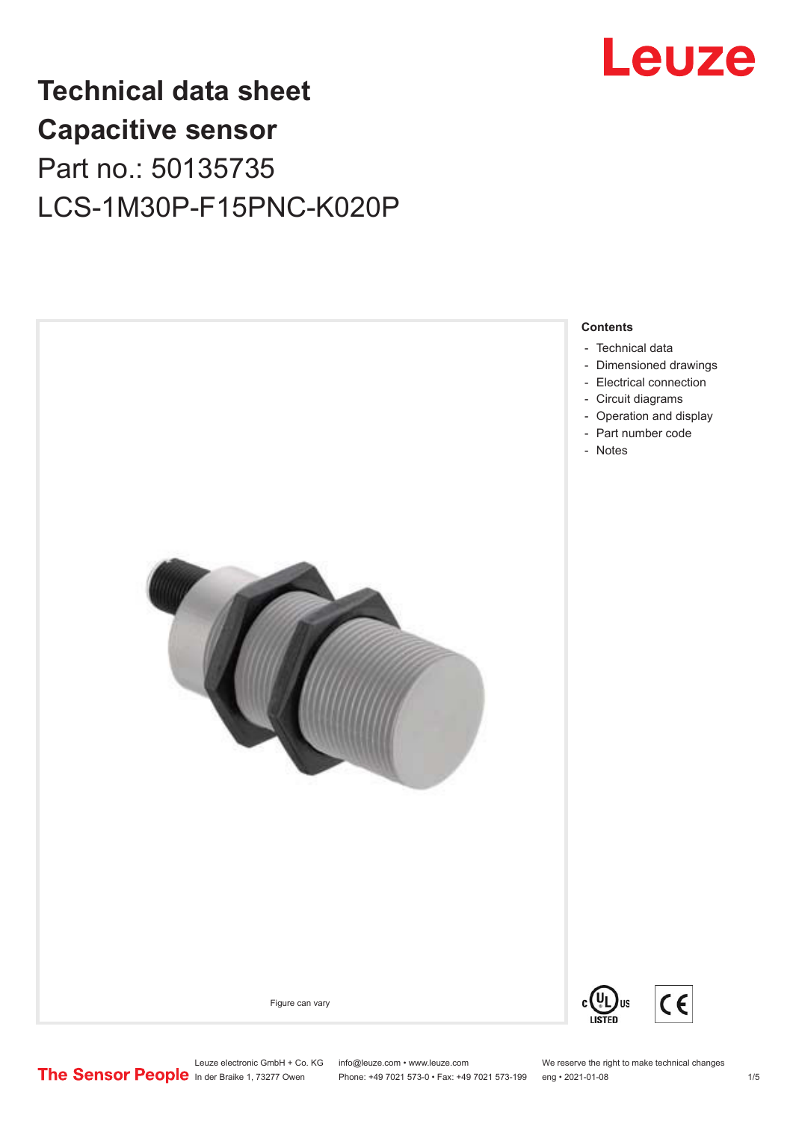

## **Technical data sheet Capacitive sensor** Part no.: 50135735 LCS-1M30P-F15PNC-K020P



Leuze electronic GmbH + Co. KG info@leuze.com • www.leuze.com We reserve the right to make technical changes<br> **The Sensor People** in der Braike 1, 73277 Owen Phone: +49 7021 573-0 • Fax: +49 7021 573-199 eng • 2021-01-08

Phone: +49 7021 573-0 • Fax: +49 7021 573-199 eng • 2021-01-08 1 /5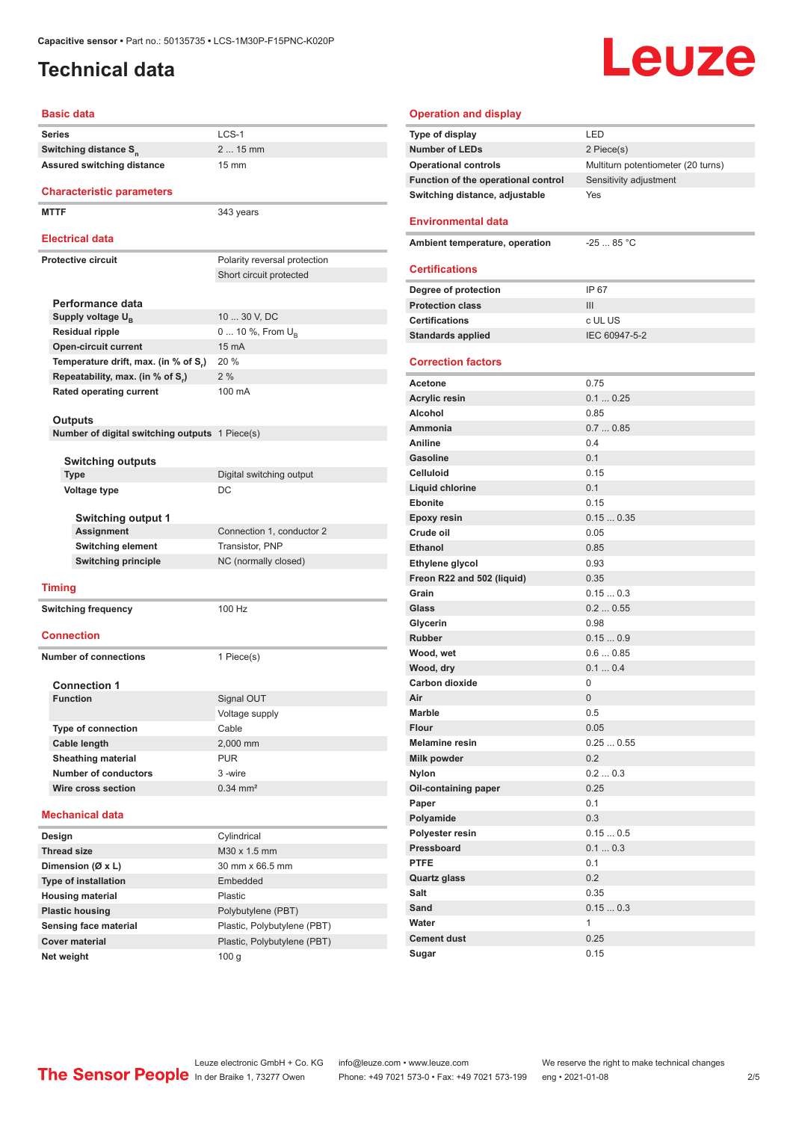### <span id="page-1-0"></span>**Technical data**

# Leuze

#### **Basic data**

| Pasic uata                                                |                              |
|-----------------------------------------------------------|------------------------------|
| Series                                                    | $LCS-1$                      |
| Switching distance S <sub>n</sub>                         | 2  15 mm                     |
| Assured switching distance                                | 15 mm                        |
|                                                           |                              |
| <b>Characteristic parameters</b>                          |                              |
| <b>MTTF</b>                                               | 343 years                    |
| <b>Electrical data</b>                                    |                              |
| <b>Protective circuit</b>                                 | Polarity reversal protection |
|                                                           | Short circuit protected      |
|                                                           |                              |
| Performance data                                          |                              |
| Supply voltage U <sub>R</sub>                             | 10  30 V, DC                 |
| <b>Residual ripple</b>                                    | 0  10 %, From U <sub>B</sub> |
| <b>Open-circuit current</b>                               | 15 mA                        |
| Temperature drift, max. (in % of S,)                      | 20 %                         |
| Repeatability, max. (in % of S.)                          | 2%                           |
| <b>Rated operating current</b>                            | 100 mA                       |
|                                                           |                              |
| Outputs<br>Number of digital switching outputs 1 Piece(s) |                              |
|                                                           |                              |
| <b>Switching outputs</b>                                  |                              |
| <b>Type</b>                                               | Digital switching output     |
| <b>Voltage type</b>                                       | DC                           |
|                                                           |                              |
| <b>Switching output 1</b>                                 |                              |
| <b>Assignment</b>                                         | Connection 1, conductor 2    |
| <b>Switching element</b>                                  | Transistor, PNP              |
| <b>Switching principle</b>                                | NC (normally closed)         |
| <b>Timing</b>                                             |                              |
| <b>Switching frequency</b>                                | 100 Hz                       |
|                                                           |                              |
| <b>Connection</b>                                         |                              |
| <b>Number of connections</b>                              | 1 Piece(s)                   |
|                                                           |                              |
| <b>Connection 1</b>                                       |                              |
| <b>Function</b>                                           | Signal OUT                   |
|                                                           | Voltage supply               |
| <b>Type of connection</b>                                 | Cable                        |
| Cable length                                              | 2,000 mm                     |
| <b>Sheathing material</b>                                 | <b>PUR</b>                   |
| <b>Number of conductors</b>                               | 3-wire                       |
| Wire cross section                                        | $0.34$ mm <sup>2</sup>       |
| <b>Mechanical data</b>                                    |                              |
|                                                           |                              |
| Design                                                    | Cylindrical                  |
| <b>Thread size</b>                                        | M30 x 1.5 mm                 |
| Dimension (Ø x L)                                         | 30 mm x 66.5 mm              |
| <b>Type of installation</b>                               | Embedded<br>Plastic          |
| <b>Housing material</b><br><b>Plastic housing</b>         | Polybutylene (PBT)           |
| Sensing face material                                     | Plastic, Polybutylene (PBT)  |
| <b>Cover material</b>                                     | Plastic, Polybutylene (PBT)  |
| Net weight                                                | 100 <sub>g</sub>             |
|                                                           |                              |

| <b>Operation and display</b>        |                                    |
|-------------------------------------|------------------------------------|
| Type of display                     | LED                                |
| <b>Number of LEDs</b>               | 2 Piece(s)                         |
| <b>Operational controls</b>         | Multiturn potentiometer (20 turns) |
| Function of the operational control | Sensitivity adjustment             |
| Switching distance, adjustable      | Yes                                |
| <b>Environmental data</b>           |                                    |
| Ambient temperature, operation      | $-2585 °C$                         |
|                                     |                                    |
| <b>Certifications</b>               |                                    |
| Degree of protection                | IP 67                              |
| <b>Protection class</b>             | III                                |
| <b>Certifications</b>               | c UL US                            |
| <b>Standards applied</b>            | IEC 60947-5-2                      |
| <b>Correction factors</b>           |                                    |
| Acetone                             | 0.75                               |
| <b>Acrylic resin</b>                | 0.10.25                            |
| Alcohol                             | 0.85                               |
| Ammonia                             | 0.70.85                            |
| Aniline                             | 0.4                                |
| Gasoline                            | 0.1                                |
| Celluloid                           | 0.15                               |
| <b>Liquid chlorine</b>              | 0.1                                |
| <b>Ebonite</b>                      | 0.15                               |
| <b>Epoxy resin</b>                  | 0.150.35                           |
| Crude oil                           | 0.05                               |
| <b>Ethanol</b>                      | 0.85                               |
| Ethylene glycol                     | 0.93                               |
| Freon R22 and 502 (liquid)          | 0.35                               |
| Grain                               | 0.150.3                            |
| Glass                               | 0.20.55                            |
| Glycerin                            | 0.98                               |
| <b>Rubber</b>                       | 0.150.9                            |
| Wood, wet                           | 0.60.85                            |
| Wood, dry                           | 0.10.4                             |
| Carbon dioxide                      | 0                                  |
| Air                                 | 0                                  |
| <b>Marble</b>                       | 0.5                                |
| <b>Flour</b>                        | 0.05                               |
| <b>Melamine resin</b>               | 0.250.55                           |
| Milk powder                         | 0.2                                |
| Nylon                               | 0.20.3                             |
| Oil-containing paper                | 0.25                               |
| Paper                               | 0.1                                |
| Polyamide                           | 0.3                                |
| Polyester resin                     | 0.150.5                            |
| Pressboard                          | 0.10.3                             |
| <b>PTFE</b>                         | 0.1                                |
| <b>Quartz glass</b>                 | 0.2                                |
| Salt                                | 0.35                               |
| Sand                                | 0.150.3                            |
| Water                               | 1                                  |
| <b>Cement dust</b>                  | 0.25                               |
| Sugar                               | 0.15                               |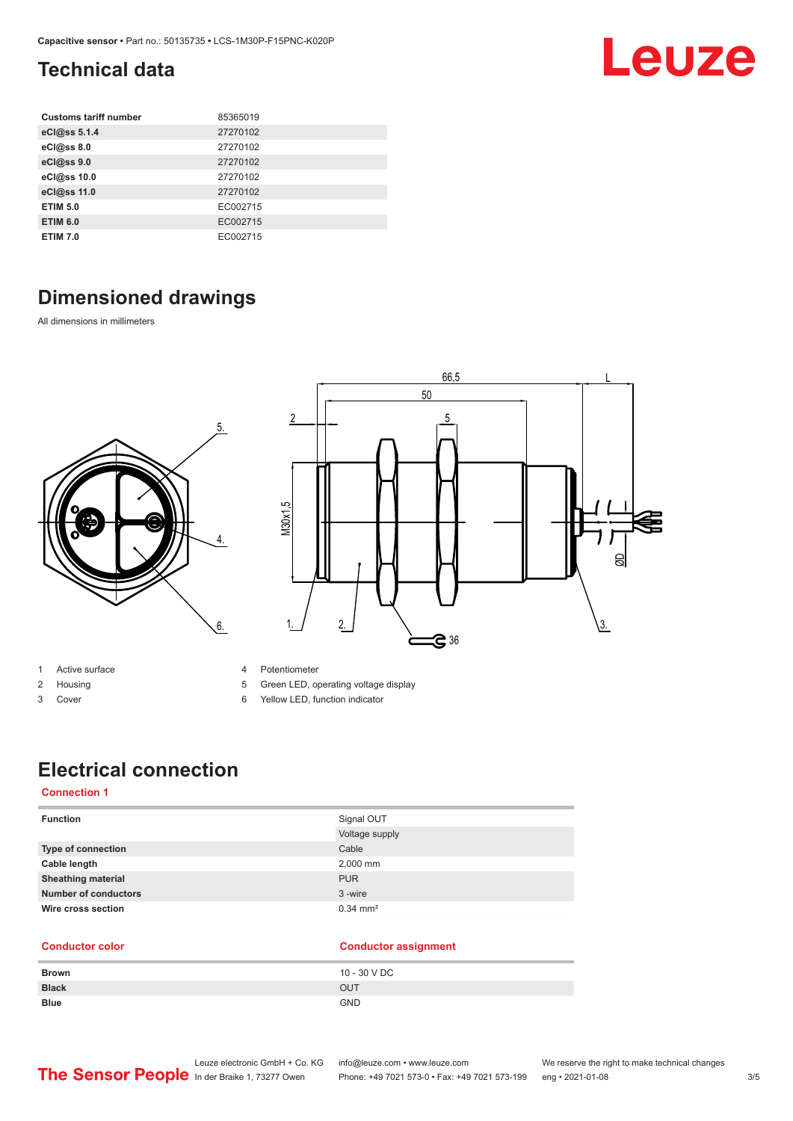### <span id="page-2-0"></span>**Technical data**

| <b>Customs tariff number</b> | 85365019 |
|------------------------------|----------|
| eCl@ss 5.1.4                 | 27270102 |
| eCl@ss 8.0                   | 27270102 |
| eCl@ss 9.0                   | 27270102 |
| eCl@ss 10.0                  | 27270102 |
| eCl@ss 11.0                  | 27270102 |
| <b>ETIM 5.0</b>              | EC002715 |
| <b>ETIM 6.0</b>              | EC002715 |
| <b>ETIM 7.0</b>              | EC002715 |

### **Dimensioned drawings**

All dimensions in millimeters





- 1 Active surface
- 2 Housing
- 3 Cover
- 4 Potentiometer
- 5 Green LED, operating voltage display
- 6 Yellow LED, function indicator

### **Electrical connection**

#### **Connection 1**

| <b>Function</b>             | Signal OUT            |
|-----------------------------|-----------------------|
|                             | Voltage supply        |
| Type of connection          | Cable                 |
| Cable length                | 2,000 mm              |
| <b>Sheathing material</b>   | <b>PUR</b>            |
| <b>Number of conductors</b> | 3-wire                |
| Wire cross section          | $0.34 \, \text{mm}^2$ |

#### **Conductor color Conductor assignment Brown** 10 - 30 V DC **Black** OUT **Blue** GND

Leuze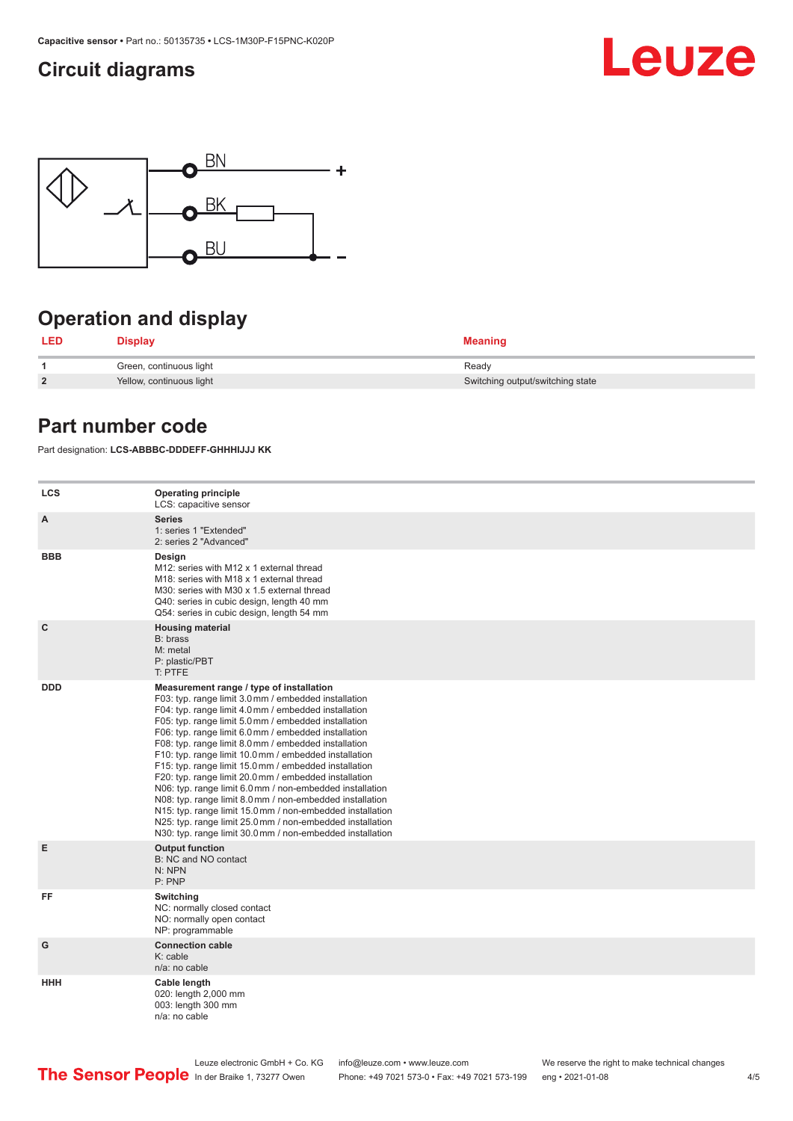### <span id="page-3-0"></span>**Circuit diagrams**





### **Operation and display**

| <b>LED</b>     | <b>Display</b>           | <b>Meaning</b>                   |
|----------------|--------------------------|----------------------------------|
|                | Green, continuous light  | Ready                            |
| $\overline{2}$ | Yellow, continuous light | Switching output/switching state |

### **Part number code**

Part designation: **LCS-ABBBC-DDDEFF-GHHHIJJJ KK**

| <b>LCS</b>   | <b>Operating principle</b><br>LCS: capacitive sensor                                                                                                                                                                                                                                                                                                                                                                                                                                                                                                                                                                                                                                                                                                                                                                       |
|--------------|----------------------------------------------------------------------------------------------------------------------------------------------------------------------------------------------------------------------------------------------------------------------------------------------------------------------------------------------------------------------------------------------------------------------------------------------------------------------------------------------------------------------------------------------------------------------------------------------------------------------------------------------------------------------------------------------------------------------------------------------------------------------------------------------------------------------------|
| A            | <b>Series</b><br>1: series 1 "Extended"<br>2: series 2 "Advanced"                                                                                                                                                                                                                                                                                                                                                                                                                                                                                                                                                                                                                                                                                                                                                          |
| <b>BBB</b>   | Design<br>M12: series with M12 x 1 external thread<br>M18: series with M18 x 1 external thread<br>M30: series with M30 x 1.5 external thread<br>Q40: series in cubic design, length 40 mm<br>Q54: series in cubic design, length 54 mm                                                                                                                                                                                                                                                                                                                                                                                                                                                                                                                                                                                     |
| $\mathbf{C}$ | <b>Housing material</b><br>B: brass<br>M: metal<br>P: plastic/PBT<br>T: PTFE                                                                                                                                                                                                                                                                                                                                                                                                                                                                                                                                                                                                                                                                                                                                               |
| <b>DDD</b>   | Measurement range / type of installation<br>F03: typ. range limit 3.0 mm / embedded installation<br>F04: typ. range limit 4.0 mm / embedded installation<br>F05: typ. range limit 5.0 mm / embedded installation<br>F06: typ. range limit 6.0 mm / embedded installation<br>F08: typ. range limit 8.0 mm / embedded installation<br>F10: typ. range limit 10.0 mm / embedded installation<br>F15: typ. range limit 15.0 mm / embedded installation<br>F20: typ. range limit 20.0 mm / embedded installation<br>N06: typ. range limit 6.0 mm / non-embedded installation<br>N08: typ. range limit 8.0 mm / non-embedded installation<br>N15: typ. range limit 15.0 mm / non-embedded installation<br>N25: typ. range limit 25.0 mm / non-embedded installation<br>N30: typ. range limit 30.0 mm / non-embedded installation |
| Е            | <b>Output function</b><br>B: NC and NO contact<br>N: NPN<br>P: PNP                                                                                                                                                                                                                                                                                                                                                                                                                                                                                                                                                                                                                                                                                                                                                         |
| FF           | Switching<br>NC: normally closed contact<br>NO: normally open contact<br>NP: programmable                                                                                                                                                                                                                                                                                                                                                                                                                                                                                                                                                                                                                                                                                                                                  |
| G            | <b>Connection cable</b><br>$K:$ cable<br>n/a: no cable                                                                                                                                                                                                                                                                                                                                                                                                                                                                                                                                                                                                                                                                                                                                                                     |
| <b>HHH</b>   | Cable length<br>020: length 2,000 mm<br>003: length 300 mm<br>n/a: no cable                                                                                                                                                                                                                                                                                                                                                                                                                                                                                                                                                                                                                                                                                                                                                |